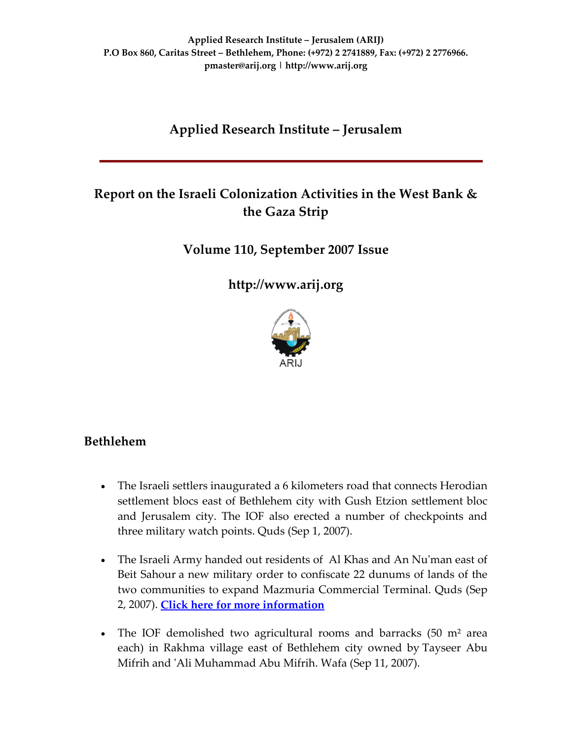# **Applied Research Institute – Jerusalem**

# **Report on the Israeli Colonization Activities in the West Bank & the Gaza Strip**

**Volume 110, September 2007 Issue**

**[http://www.arij.org](http://www.arij.org/)**



# **Bethlehem**

- The Israeli settlers inaugurated a 6 kilometers road that connects Herodian settlement blocs east of Bethlehem city with Gush Etzion settlement bloc and Jerusalem city. The IOF also erected a number of checkpoints and three military watch points. Quds (Sep 1, 2007).
- The Israeli Army handed out residents of Al Khas and An Nu'man east of Beit Sahour a new military order to confiscate 22 dunums of lands of the two communities to expand Mazmuria Commercial Terminal. Quds (Sep 2, 2007). **Click here for more [information](http://www.poica.org/editor/case_studies/view.php?recordID=1146)**
- The IOF demolished two agricultural rooms and barracks  $(50 \text{ m}^2 \text{ area})$ each) in Rakhma village east of Bethlehem city owned by Tayseer Abu Mifrih and ʹAli Muhammad Abu Mifrih. Wafa (Sep 11, 2007).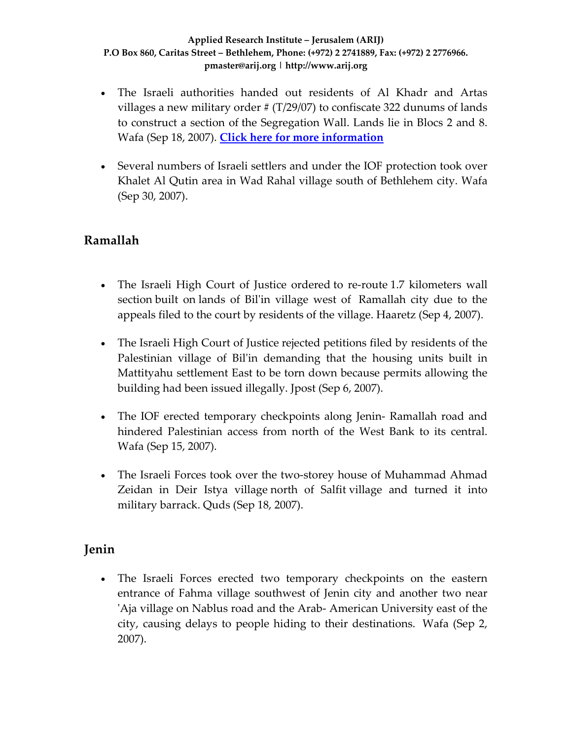- The Israeli authorities handed out residents of Al Khadr and Artas villages a new military order  $# (T/29/07)$  to confiscate 322 dunums of lands to construct a section of the Segregation Wall. Lands lie in Blocs 2 and 8. Wafa (Sep 18, 2007). **Click here for more [information](http://www.poica.org/editor/case_studies/view.php?recordID=1164)**
- Several numbers of Israeli settlers and under the IOF protection took over Khalet Al Qutin area in Wad Rahal village south of Bethlehem city. Wafa (Sep 30, 2007).

# **Ramallah**

- The Israeli High Court of Justice ordered to re-route 1.7 kilometers wall section built on lands of Bilʹin village west of Ramallah city due to the appeals filed to the court by residents of the village. Haaretz (Sep 4, 2007).
- The Israeli High Court of Justice rejected petitions filed by residents of the Palestinian village of Bilʹin demanding that the housing units built in Mattityahu settlement East to be torn down because permits allowing the building had been issued illegally. Jpost (Sep 6, 2007).
- The IOF erected temporary checkpoints along Jenin- Ramallah road and hindered Palestinian access from north of the West Bank to its central. Wafa (Sep 15, 2007).
- The Israeli Forces took over the two-storey house of Muhammad Ahmad Zeidan in Deir Istya village north of Salfit village and turned it into military barrack. Quds (Sep 18, 2007).

### **Jenin**

• The Israeli Forces erected two temporary checkpoints on the eastern entrance of Fahma village southwest of Jenin city and another two near ʹAja village on Nablus road and the Arab‐ American University east of the city, causing delays to people hiding to their destinations. Wafa (Sep 2, 2007).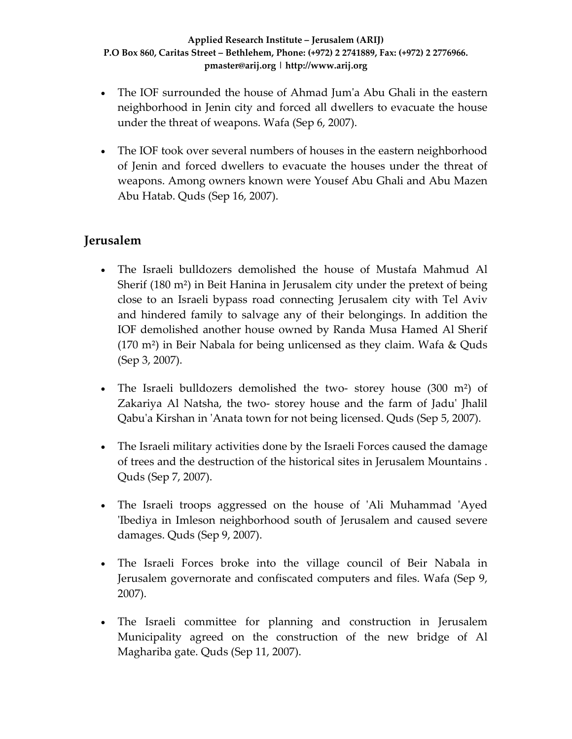- The IOF surrounded the house of Ahmad Jum'a Abu Ghali in the eastern neighborhood in Jenin city and forced all dwellers to evacuate the house under the threat of weapons. Wafa (Sep 6, 2007).
- The IOF took over several numbers of houses in the eastern neighborhood of Jenin and forced dwellers to evacuate the houses under the threat of weapons. Among owners known were Yousef Abu Ghali and Abu Mazen Abu Hatab. Quds (Sep 16, 2007).

# **Jerusalem**

- The Israeli bulldozers demolished the house of Mustafa Mahmud Al Sherif (180 m²) in Beit Hanina in Jerusalem city under the pretext of being close to an Israeli bypass road connecting Jerusalem city with Tel Aviv and hindered family to salvage any of their belongings. In addition the IOF demolished another house owned by Randa Musa Hamed Al Sherif (170 m²) in Beir Nabala for being unlicensed as they claim. Wafa & Quds (Sep 3, 2007).
- The Israeli bulldozers demolished the two-storey house (300 m<sup>2</sup>) of Zakariya Al Natsha, the two‐ storey house and the farm of Jaduʹ Jhalil Qabuʹa Kirshan in ʹAnata town for not being licensed. Quds (Sep 5, 2007).
- The Israeli military activities done by the Israeli Forces caused the damage of trees and the destruction of the historical sites in Jerusalem Mountains . Quds (Sep 7, 2007).
- The Israeli troops aggressed on the house of 'Ali Muhammad 'Ayed ʹIbediya in Imleson neighborhood south of Jerusalem and caused severe damages. Quds (Sep 9, 2007).
- The Israeli Forces broke into the village council of Beir Nabala in Jerusalem governorate and confiscated computers and files. Wafa (Sep 9, 2007).
- The Israeli committee for planning and construction in Jerusalem Municipality agreed on the construction of the new bridge of Al Maghariba gate. Quds (Sep 11, 2007).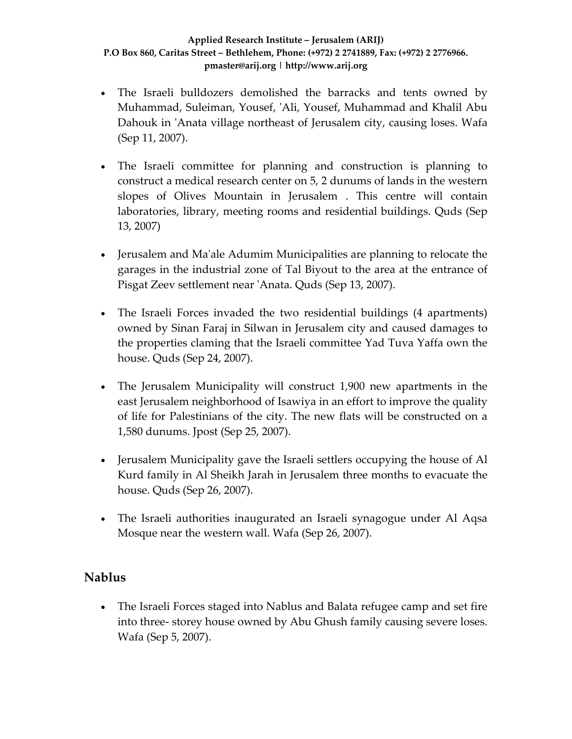- The Israeli bulldozers demolished the barracks and tents owned by Muhammad, Suleiman, Yousef, 'Ali, Yousef, Muhammad and Khalil Abu Dahouk in 'Anata village northeast of Jerusalem city, causing loses. Wafa (Sep 11, 2007).
- The Israeli committee for planning and construction is planning to construct a medical research center on 5, 2 dunums of lands in the western slopes of Olives Mountain in Jerusalem . This centre will contain laboratories, library, meeting rooms and residential buildings. Quds (Sep 13, 2007)
- Jerusalem and Ma'ale Adumim Municipalities are planning to relocate the garages in the industrial zone of Tal Biyout to the area at the entrance of Pisgat Zeev settlement near ʹAnata. Quds (Sep 13, 2007).
- The Israeli Forces invaded the two residential buildings (4 apartments) owned by Sinan Faraj in Silwan in Jerusalem city and caused damages to the properties claming that the Israeli committee Yad Tuva Yaffa own the house. Quds (Sep 24, 2007).
- The Jerusalem Municipality will construct 1,900 new apartments in the east Jerusalem neighborhood of Isawiya in an effort to improve the quality of life for Palestinians of the city. The new flats will be constructed on a 1,580 dunums. Jpost (Sep 25, 2007).
- Jerusalem Municipality gave the Israeli settlers occupying the house of Al Kurd family in Al Sheikh Jarah in Jerusalem three months to evacuate the house. Quds (Sep 26, 2007).
- The Israeli authorities inaugurated an Israeli synagogue under Al Aqsa Mosque near the western wall. Wafa (Sep 26, 2007).

### **Nablus**

• The Israeli Forces staged into Nablus and Balata refugee camp and set fire into three‐ storey house owned by Abu Ghush family causing severe loses. Wafa (Sep 5, 2007).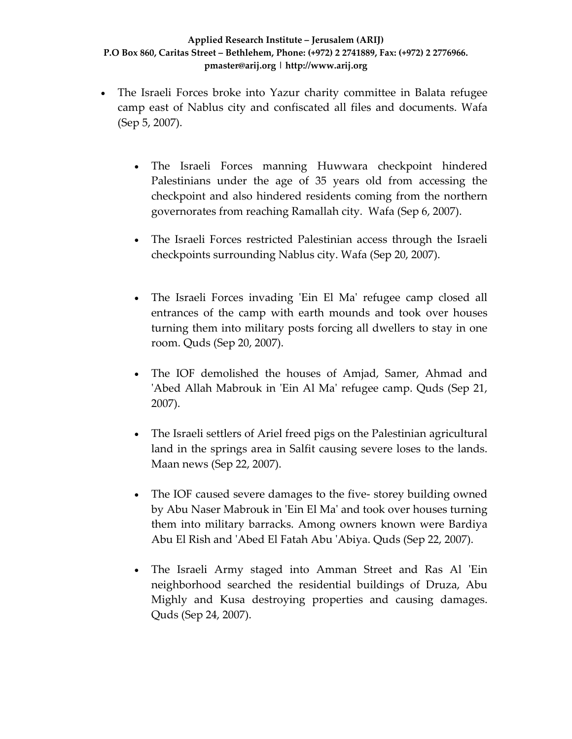- The Israeli Forces broke into Yazur charity committee in Balata refugee camp east of Nablus city and confiscated all files and documents. Wafa (Sep 5, 2007).
	- The Israeli Forces manning Huwwara checkpoint hindered Palestinians under the age of 35 years old from accessing the checkpoint and also hindered residents coming from the northern governorates from reaching Ramallah city. Wafa (Sep 6, 2007).
	- The Israeli Forces restricted Palestinian access through the Israeli checkpoints surrounding Nablus city. Wafa (Sep 20, 2007).
	- The Israeli Forces invading 'Ein El Ma' refugee camp closed all entrances of the camp with earth mounds and took over houses turning them into military posts forcing all dwellers to stay in one room. Quds (Sep 20, 2007).
	- The IOF demolished the houses of Amjad, Samer, Ahmad and 'Abed Allah Mabrouk in 'Ein Al Ma' refugee camp. Quds (Sep 21, 2007).
	- The Israeli settlers of Ariel freed pigs on the Palestinian agricultural land in the springs area in Salfit causing severe loses to the lands. Maan news (Sep 22, 2007).
	- The IOF caused severe damages to the five-storey building owned by Abu Naser Mabrouk in ʹEin El Maʹ and took over houses turning them into military barracks. Among owners known were Bardiya Abu El Rish and ʹAbed El Fatah Abu ʹAbiya. Quds (Sep 22, 2007).
	- The Israeli Army staged into Amman Street and Ras Al 'Ein neighborhood searched the residential buildings of Druza, Abu Mighly and Kusa destroying properties and causing damages. Quds (Sep 24, 2007).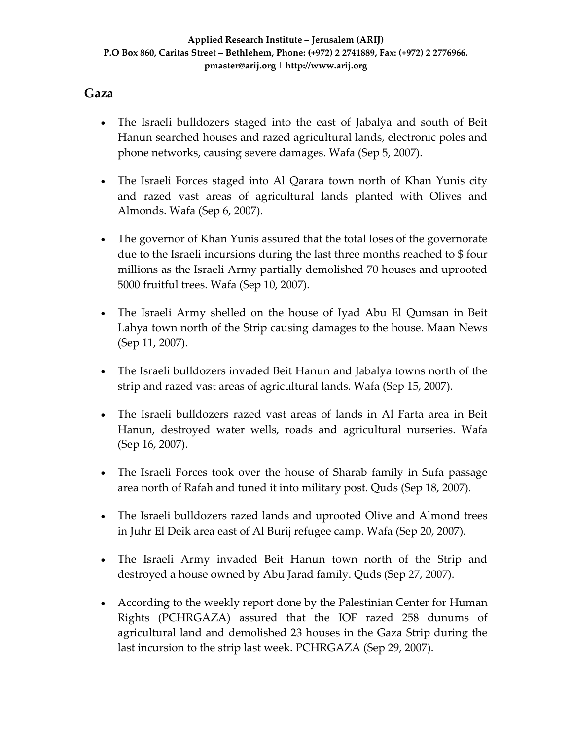### **Gaza**

- The Israeli bulldozers staged into the east of Jabalya and south of Beit Hanun searched houses and razed agricultural lands, electronic poles and phone networks, causing severe damages. Wafa (Sep 5, 2007).
- The Israeli Forces staged into Al Qarara town north of Khan Yunis city and razed vast areas of agricultural lands planted with Olives and Almonds. Wafa (Sep 6, 2007).
- The governor of Khan Yunis assured that the total loses of the governorate due to the Israeli incursions during the last three months reached to \$ four millions as the Israeli Army partially demolished 70 houses and uprooted 5000 fruitful trees. Wafa (Sep 10, 2007).
- The Israeli Army shelled on the house of Iyad Abu El Qumsan in Beit Lahya town north of the Strip causing damages to the house. Maan News (Sep 11, 2007).
- The Israeli bulldozers invaded Beit Hanun and Jabalya towns north of the strip and razed vast areas of agricultural lands. Wafa (Sep 15, 2007).
- The Israeli bulldozers razed vast areas of lands in Al Farta area in Beit Hanun, destroyed water wells, roads and agricultural nurseries. Wafa (Sep 16, 2007).
- The Israeli Forces took over the house of Sharab family in Sufa passage area north of Rafah and tuned it into military post. Quds (Sep 18, 2007).
- The Israeli bulldozers razed lands and uprooted Olive and Almond trees in Juhr El Deik area east of Al Burij refugee camp. Wafa (Sep 20, 2007).
- The Israeli Army invaded Beit Hanun town north of the Strip and destroyed a house owned by Abu Jarad family. Quds (Sep 27, 2007).
- According to the weekly report done by the Palestinian Center for Human Rights (PCHRGAZA) assured that the IOF razed 258 dunums of agricultural land and demolished 23 houses in the Gaza Strip during the last incursion to the strip last week. PCHRGAZA (Sep 29, 2007).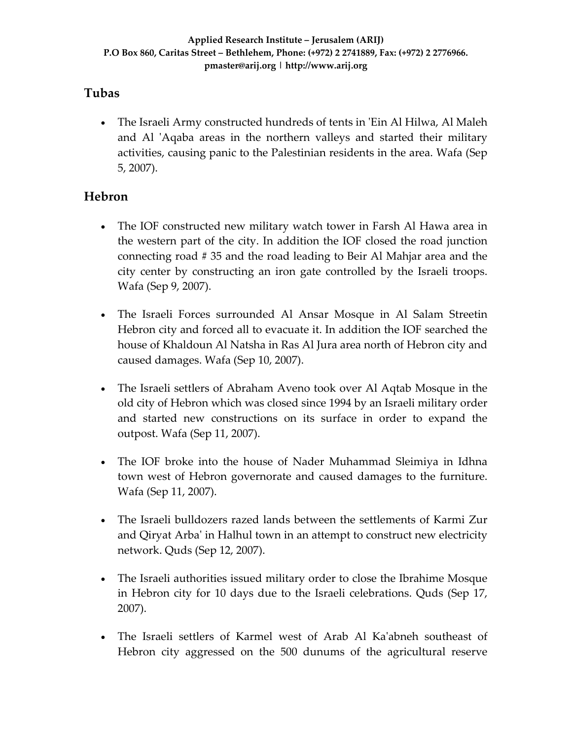### **Tubas**

• The Israeli Army constructed hundreds of tents in 'Ein Al Hilwa, Al Maleh and Al 'Aqaba areas in the northern valleys and started their military activities, causing panic to the Palestinian residents in the area. Wafa (Sep 5, 2007).

# **Hebron**

- The IOF constructed new military watch tower in Farsh Al Hawa area in the western part of the city. In addition the IOF closed the road junction connecting road # 35 and the road leading to Beir Al Mahjar area and the city center by constructing an iron gate controlled by the Israeli troops. Wafa (Sep 9, 2007).
- The Israeli Forces surrounded Al Ansar Mosque in Al Salam Streetin Hebron city and forced all to evacuate it. In addition the IOF searched the house of Khaldoun Al Natsha in Ras Al Jura area north of Hebron city and caused damages. Wafa (Sep 10, 2007).
- The Israeli settlers of Abraham Aveno took over Al Aqtab Mosque in the old city of Hebron which was closed since 1994 by an Israeli military order and started new constructions on its surface in order to expand the outpost. Wafa (Sep 11, 2007).
- The IOF broke into the house of Nader Muhammad Sleimiya in Idhna town west of Hebron governorate and caused damages to the furniture. Wafa (Sep 11, 2007).
- The Israeli bulldozers razed lands between the settlements of Karmi Zur and Qiryat Arba' in Halhul town in an attempt to construct new electricity network. Quds (Sep 12, 2007).
- The Israeli authorities issued military order to close the Ibrahime Mosque in Hebron city for 10 days due to the Israeli celebrations. Quds (Sep 17, 2007).
- The Israeli settlers of Karmel west of Arab Al Kaʹabneh southeast of Hebron city aggressed on the 500 dunums of the agricultural reserve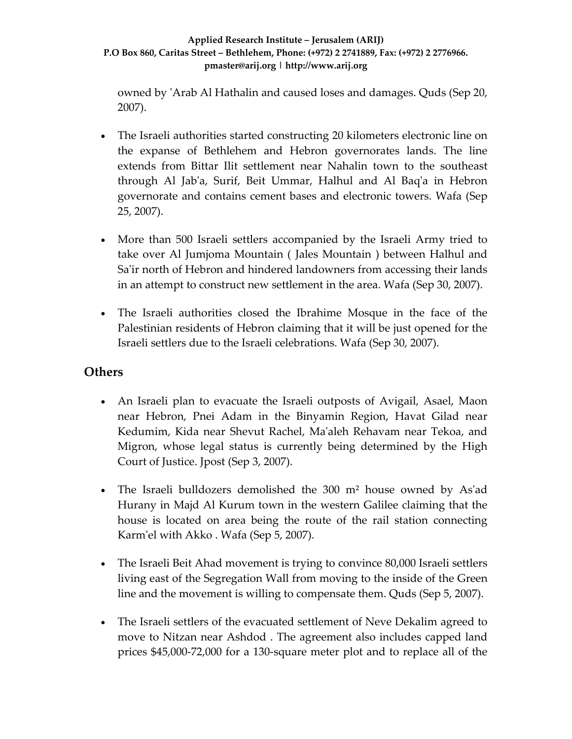owned by ʹArab Al Hathalin and caused loses and damages. Quds (Sep 20, 2007).

- The Israeli authorities started constructing 20 kilometers electronic line on the expanse of Bethlehem and Hebron governorates lands. The line extends from Bittar Ilit settlement near Nahalin town to the southeast through Al Jabʹa, Surif, Beit Ummar, Halhul and Al Baqʹa in Hebron governorate and contains cement bases and electronic towers. Wafa (Sep 25, 2007).
- More than 500 Israeli settlers accompanied by the Israeli Army tried to take over Al Jumjoma Mountain ( Jales Mountain ) between Halhul and Sa'ir north of Hebron and hindered landowners from accessing their lands in an attempt to construct new settlement in the area. Wafa (Sep 30, 2007).
- The Israeli authorities closed the Ibrahime Mosque in the face of the Palestinian residents of Hebron claiming that it will be just opened for the Israeli settlers due to the Israeli celebrations. Wafa (Sep 30, 2007).

### **Others**

- An Israeli plan to evacuate the Israeli outposts of Avigail, Asael, Maon near Hebron, Pnei Adam in the Binyamin Region, Havat Gilad near Kedumim, Kida near Shevut Rachel, Maʹaleh Rehavam near Tekoa, and Migron, whose legal status is currently being determined by the High Court of Justice. Jpost (Sep 3, 2007).
- The Israeli bulldozers demolished the 300 m<sup>2</sup> house owned by As'ad Hurany in Majd Al Kurum town in the western Galilee claiming that the house is located on area being the route of the rail station connecting Karm'el with Akko . Wafa (Sep 5, 2007).
- The Israeli Beit Ahad movement is trying to convince 80,000 Israeli settlers living east of the Segregation Wall from moving to the inside of the Green line and the movement is willing to compensate them. Quds (Sep 5, 2007).
- The Israeli settlers of the evacuated settlement of Neve Dekalim agreed to move to Nitzan near Ashdod . The agreement also includes capped land prices \$45,000‐72,000 for a 130‐square meter plot and to replace all of the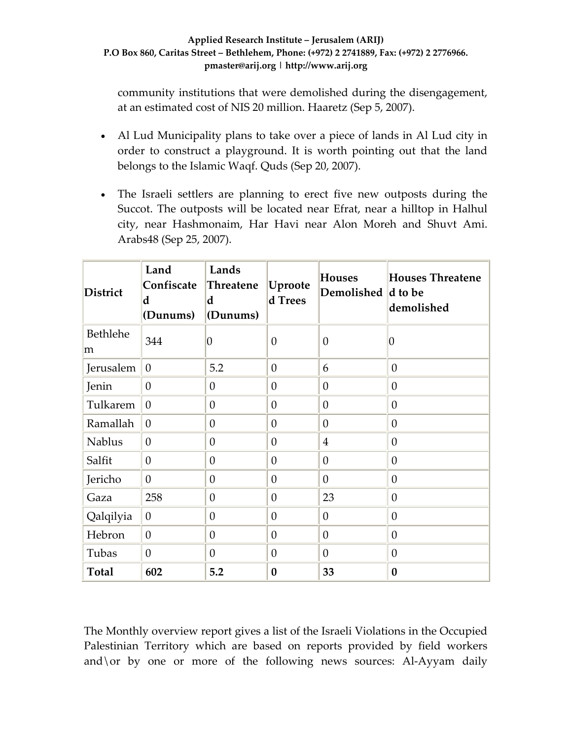community institutions that were demolished during the disengagement, at an estimated cost of NIS 20 million. Haaretz (Sep 5, 2007).

- Al Lud Municipality plans to take over a piece of lands in Al Lud city in order to construct a playground. It is worth pointing out that the land belongs to the Islamic Waqf. Quds (Sep 20, 2007).
- The Israeli settlers are planning to erect five new outposts during the Succot. The outposts will be located near Efrat, near a hilltop in Halhul city, near Hashmonaim, Har Havi near Alon Moreh and Shuvt Ami. Arabs48 (Sep 25, 2007).

| <b>District</b> | Land<br>Confiscate<br>d<br>(Dunums) | Lands<br>Threatene<br>d<br>(Dunums) | Uproote<br>d Trees | <b>Houses</b><br>Demolished d to be | <b>Houses Threatene</b><br>demolished |
|-----------------|-------------------------------------|-------------------------------------|--------------------|-------------------------------------|---------------------------------------|
| Bethlehe<br>m   | 344                                 | $\overline{0}$                      | $\theta$           | $\theta$                            | Ю                                     |
| Jerusalem       | $\theta$                            | 5.2                                 | $\overline{0}$     | 6                                   | $\theta$                              |
| Jenin           | $\boldsymbol{0}$                    | 0                                   | $\boldsymbol{0}$   | $\theta$                            | $\theta$                              |
| Tulkarem        | $\theta$                            | $\boldsymbol{0}$                    | $\theta$           | $\theta$                            | $\theta$                              |
| Ramallah        | $\overline{0}$                      | $\overline{0}$                      | $\overline{0}$     | $\overline{0}$                      | $\theta$                              |
| <b>Nablus</b>   | $\overline{0}$                      | $\boldsymbol{0}$                    | $\theta$           | $\overline{4}$                      | $\theta$                              |
| Salfit          | $\overline{0}$                      | $\theta$                            | $\overline{0}$     | $\overline{0}$                      | $\theta$                              |
| Jericho         | $\overline{0}$                      | $\theta$                            | $\overline{0}$     | $\overline{0}$                      | $\theta$                              |
| Gaza            | 258                                 | $\boldsymbol{0}$                    | $\theta$           | 23                                  | $\theta$                              |
| Qalqilyia       | $\theta$                            | $\boldsymbol{0}$                    | $\theta$           | $\boldsymbol{0}$                    | $\theta$                              |
| Hebron          | $\overline{0}$                      | $\overline{0}$                      | $\overline{0}$     | $\overline{0}$                      | $\theta$                              |
| Tubas           | $\boldsymbol{0}$                    | $\theta$                            | $\theta$           | $\theta$                            | $\theta$                              |
| <b>Total</b>    | 602                                 | 5.2                                 | $\bf{0}$           | 33                                  | $\bf{0}$                              |

The Monthly overview report gives a list of the Israeli Violations in the Occupied Palestinian Territory which are based on reports provided by field workers and \ or by one or more of the following news sources: Al-Ayyam daily